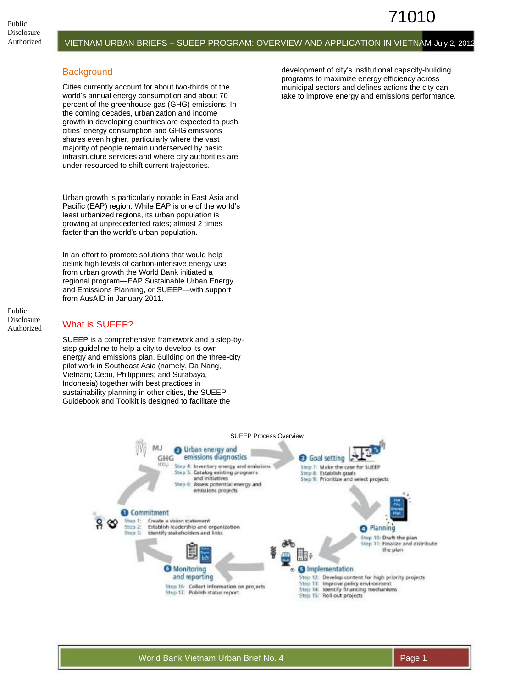## **Background**

Cities currently account for about two-thirds of the world's annual energy consumption and about 70 percent of the greenhouse gas (GHG) emissions. In the coming decades, urbanization and income growth in developing countries are expected to push cities' energy consumption and GHG emissions shares even higher, particularly where the vast majority of people remain underserved by basic infrastructure services and where city authorities are under-resourced to shift current trajectories.

Urban growth is particularly notable in East Asia and Pacific (EAP) region. While EAP is one of the world's least urbanized regions, its urban population is growing at unprecedented rates; almost 2 times faster than the world's urban population.

In an effort to promote solutions that would help delink high levels of carbon-intensive energy use from urban growth the World Bank initiated a regional program—EAP Sustainable Urban Energy and Emissions Planning, or SUEEP—with support from AusAID in January 2011.

Public Disclosure Authorized

# What is SUEEP?

SUEEP is a comprehensive framework and a step-bystep quideline to help a city to develop its own energy and emissions plan. Building on the three-city pilot work in Southeast Asia (namely, Da Nang, Vietnam; Cebu, Philippines; and Surabaya, Indonesia) together with best practices in sustainability planning in other cities, the SUEEP Guidebook and Toolkit is designed to facilitate the

development of city's institutional capacity-building programs to maximize energy efficiency across municipal sectors and defines actions the city can take to improve energy and emissions performance.

71010

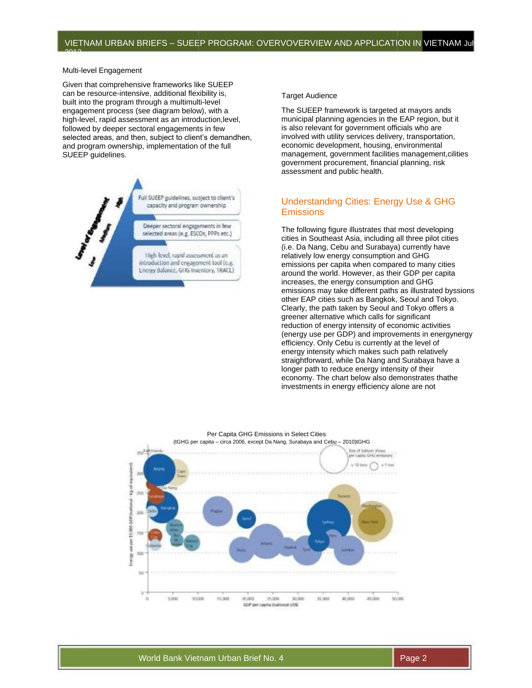Multi-level Engagement

2012

Given that comprehensive frameworks like SUEEP can be resource-intensive, additional flexibility is, built into the program through a multimulti-level engagement process (see diagram below), with a high-level, rapid assessment as an introduction,level, followed by deeper sectoral engagements in few selected areas, and then, subject to client's demandhen, and program ownership, implementation of the full SUEEP guidelines.



#### Target Audience

The SUEEP framework is targeted at mayors ands municipal planning agencies in the EAP region, but it is also relevant for government officials who are involved with utility services delivery, transportation, economic development, housing, environmental management, government facilities management,cilities government procurement, financial planning, risk assessment and public health.

## Understanding Cities: Energy Use & GHG **Emissions**

The following figure illustrates that most developing cities in Southeast Asia, including all three pilot cities (i.e. Da Nang, Cebu and Surabaya) currently have relatively low energy consumption and GHG emissions per capita when compared to many cities around the world. However, as their GDP per capita increases, the energy consumption and GHG emissions may take different paths as illustrated byssions other EAP cities such as Bangkok, Seoul and Tokyo. Clearly, the path taken by Seoul and Tokyo offers a greener alternative which calls for significant reduction of energy intensity of economic activities (energy use per GDP) and improvements in energynergy efficiency. Only Cebu is currently at the level of energy intensity which makes such path relatively straightforward, while Da Nang and Surabaya have a longer path to reduce energy intensity of their economy. The chart below also demonstrates thathe investments in energy efficiency alone are not

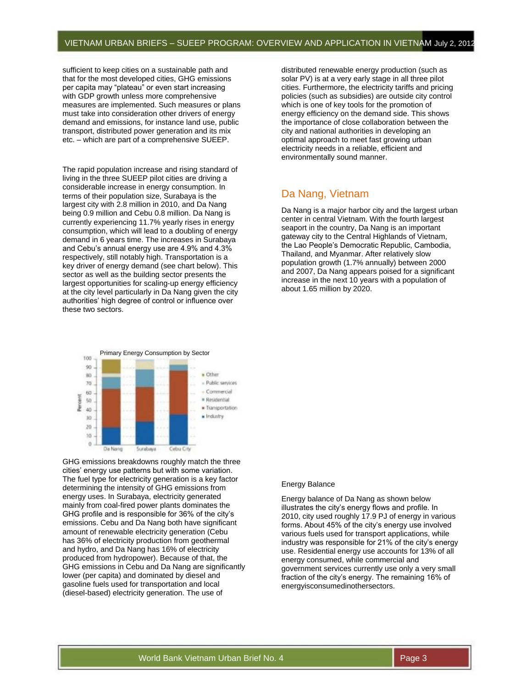sufficient to keep cities on a sustainable path and that for the most developed cities, GHG emissions per capita may "plateau" or even start increasing with GDP growth unless more comprehensive measures are implemented. Such measures or plans must take into consideration other drivers of energy demand and emissions, for instance land use, public transport, distributed power generation and its mix etc. – which are part of a comprehensive SUEEP.

The rapid population increase and rising standard of living in the three SUEEP pilot cities are driving a considerable increase in energy consumption. In terms of their population size, Surabaya is the largest city with 2.8 million in 2010, and Da Nang being 0.9 million and Cebu 0.8 million. Da Nang is currently experiencing 11.7% yearly rises in energy consumption, which will lead to a doubling of energy demand in 6 years time. The increases in Surabaya and Cebu's annual energy use are 4.9% and 4.3% respectively, still notably high. Transportation is a key driver of energy demand (see chart below). This sector as well as the building sector presents the largest opportunities for scaling-up energy efficiency at the city level particularly in Da Nang given the city authorities' high degree of control or influence over these two sectors.



GHG emissions breakdowns roughly match the three cities' energy use patterns but with some variation. The fuel type for electricity generation is a key factor determining the intensity of GHG emissions from energy uses. In Surabaya, electricity generated mainly from coal-fired power plants dominates the GHG profile and is responsible for 36% of the city's emissions. Cebu and Da Nang both have significant amount of renewable electricity generation (Cebu has 36% of electricity production from geothermal and hydro, and Da Nang has 16% of electricity produced from hydropower). Because of that, the GHG emissions in Cebu and Da Nang are significantly lower (per capita) and dominated by diesel and gasoline fuels used for transportation and local (diesel-based) electricity generation. The use of

distributed renewable energy production (such as solar PV) is at a very early stage in all three pilot cities. Furthermore, the electricity tariffs and pricing policies (such as subsidies) are outside city control which is one of key tools for the promotion of energy efficiency on the demand side. This shows the importance of close collaboration between the city and national authorities in developing an optimal approach to meet fast growing urban electricity needs in a reliable, efficient and environmentally sound manner.

# Da Nang, Vietnam

Da Nang is a major harbor city and the largest urban center in central Vietnam. With the fourth largest seaport in the country, Da Nang is an important gateway city to the Central Highlands of Vietnam, the Lao People's Democratic Republic, Cambodia, Thailand, and Myanmar. After relatively slow population growth (1.7% annually) between 2000 and 2007, Da Nang appears poised for a significant increase in the next 10 years with a population of about 1.65 million by 2020.

#### Energy Balance

Energy balance of Da Nang as shown below illustrates the city's energy flows and profile. In 2010, city used roughly 17.9 PJ of energy in various forms. About 45% of the city's energy use involved various fuels used for transport applications, while industry was responsible for 21% of the city's energy use. Residential energy use accounts for 13% of all energy consumed, while commercial and government services currently use only a very small fraction of the city's energy. The remaining 16% of energyisconsumedinothersectors.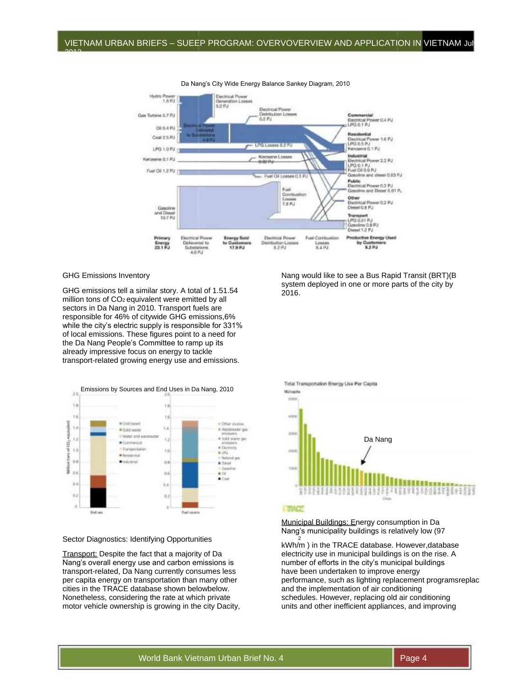

Da Nang's City Wide Energy Balance Sankey Diagram, 2010

### GHG Emissions Inventory

2012

GHG emissions tell a similar story. A total of 1.51.54 million tons of CO2 equivalent were emitted by all sectors in Da Nang in 2010. Transport fuels are responsible for 46% of citywide GHG emissions,6% while the city's electric supply is responsible for 331% of local emissions. These figures point to a need for the Da Nang People's Committee to ramp up its already impressive focus on energy to tackle transport-related growing energy use and emissions.



Sector Diagnostics: Identifying Opportunities

Transport: Despite the fact that a majority of Da Nang's overall energy use and carbon emissions is transport-related, Da Nang currently consumes less per capita energy on transportation than many other cities in the TRACE database shown belowbelow. Nonetheless, considering the rate at which private motor vehicle ownership is growing in the city Dacity, Nang would like to see a Bus Rapid Transit (BRT)(B system deployed in one or more parts of the city by 2016.



Municipal Buildings: Energy consumption in Da

Nang's municipality buildings is relatively low (97 <sup>2</sup>

kWh/m ) in the TRACE database. However,database electricity use in municipal buildings is on the rise. A number of efforts in the city's municipal buildings have been undertaken to improve energy performance, such as lighting replacement programsreplac and the implementation of air conditioning schedules. However, replacing old air conditioning units and other inefficient appliances, and improving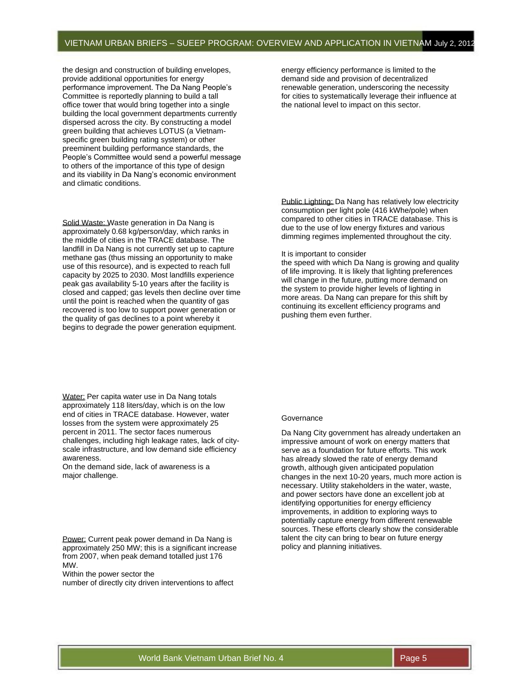the design and construction of building envelopes. provide additional opportunities for energy performance improvement. The Da Nang People's Committee is reportedly planning to build a tall office tower that would bring together into a single building the local government departments currently dispersed across the city. By constructing a model green building that achieves LOTUS (a Vietnamspecific green building rating system) or other preeminent building performance standards, the People's Committee would send a powerful message to others of the importance of this type of design and its viability in Da Nang's economic environment and climatic conditions.

Solid Waste: Waste generation in Da Nang is approximately 0.68 kg/person/day, which ranks in the middle of cities in the TRACE database. The landfill in Da Nang is not currently set up to capture methane gas (thus missing an opportunity to make use of this resource), and is expected to reach full capacity by 2025 to 2030. Most landfills experience peak gas availability 5-10 years after the facility is closed and capped; gas levels then decline over time until the point is reached when the quantity of gas recovered is too low to support power generation or the quality of gas declines to a point whereby it begins to degrade the power generation equipment.

Water: Per capita water use in Da Nang totals approximately 118 liters/day, which is on the low end of cities in TRACE database. However, water losses from the system were approximately 25 percent in 2011. The sector faces numerous challenges, including high leakage rates, lack of cityscale infrastructure, and low demand side efficiency awareness.

On the demand side, lack of awareness is a major challenge.

Power: Current peak power demand in Da Nang is approximately 250 MW; this is a significant increase from 2007, when peak demand totalled just 176 MW.

Within the power sector the number of directly city driven interventions to affect energy efficiency performance is limited to the demand side and provision of decentralized renewable generation, underscoring the necessity for cities to systematically leverage their influence at the national level to impact on this sector.

Public Lighting: Da Nang has relatively low electricity consumption per light pole (416 kWhe/pole) when compared to other cities in TRACE database. This is due to the use of low energy fixtures and various dimming regimes implemented throughout the city.

#### It is important to consider

the speed with which Da Nang is growing and quality of life improving. It is likely that lighting preferences will change in the future, putting more demand on the system to provide higher levels of lighting in more areas. Da Nang can prepare for this shift by continuing its excellent efficiency programs and pushing them even further.

#### Governance

Da Nang City government has already undertaken an impressive amount of work on energy matters that serve as a foundation for future efforts. This work has already slowed the rate of energy demand growth, although given anticipated population changes in the next 10-20 years, much more action is necessary. Utility stakeholders in the water, waste, and power sectors have done an excellent job at identifying opportunities for energy efficiency improvements, in addition to exploring ways to potentially capture energy from different renewable sources. These efforts clearly show the considerable talent the city can bring to bear on future energy policy and planning initiatives.